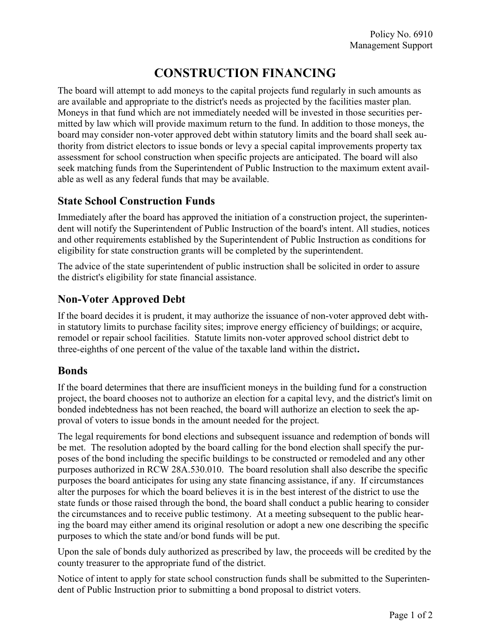## CONSTRUCTION FINANCING

The board will attempt to add moneys to the capital projects fund regularly in such amounts as are available and appropriate to the district's needs as projected by the facilities master plan. Moneys in that fund which are not immediately needed will be invested in those securities permitted by law which will provide maximum return to the fund. In addition to those moneys, the board may consider non-voter approved debt within statutory limits and the board shall seek authority from district electors to issue bonds or levy a special capital improvements property tax assessment for school construction when specific projects are anticipated. The board will also seek matching funds from the Superintendent of Public Instruction to the maximum extent available as well as any federal funds that may be available.

## State School Construction Funds

Immediately after the board has approved the initiation of a construction project, the superintendent will notify the Superintendent of Public Instruction of the board's intent. All studies, notices and other requirements established by the Superintendent of Public Instruction as conditions for eligibility for state construction grants will be completed by the superintendent.

The advice of the state superintendent of public instruction shall be solicited in order to assure the district's eligibility for state financial assistance.

## Non-Voter Approved Debt

If the board decides it is prudent, it may authorize the issuance of non-voter approved debt within statutory limits to purchase facility sites; improve energy efficiency of buildings; or acquire, remodel or repair school facilities. Statute limits non-voter approved school district debt to three-eighths of one percent of the value of the taxable land within the district.

## Bonds

If the board determines that there are insufficient moneys in the building fund for a construction project, the board chooses not to authorize an election for a capital levy, and the district's limit on bonded indebtedness has not been reached, the board will authorize an election to seek the approval of voters to issue bonds in the amount needed for the project.

The legal requirements for bond elections and subsequent issuance and redemption of bonds will be met. The resolution adopted by the board calling for the bond election shall specify the purposes of the bond including the specific buildings to be constructed or remodeled and any other purposes authorized in RCW 28A.530.010. The board resolution shall also describe the specific purposes the board anticipates for using any state financing assistance, if any. If circumstances alter the purposes for which the board believes it is in the best interest of the district to use the state funds or those raised through the bond, the board shall conduct a public hearing to consider the circumstances and to receive public testimony. At a meeting subsequent to the public hearing the board may either amend its original resolution or adopt a new one describing the specific purposes to which the state and/or bond funds will be put.

Upon the sale of bonds duly authorized as prescribed by law, the proceeds will be credited by the county treasurer to the appropriate fund of the district.

Notice of intent to apply for state school construction funds shall be submitted to the Superintendent of Public Instruction prior to submitting a bond proposal to district voters.